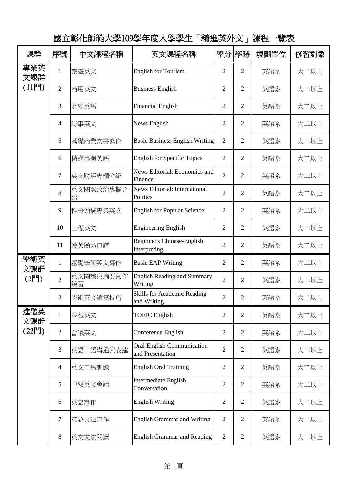| 課群                    | 序號                       | 中文課程名稱          | 英文課程名稱                                                | 學分             | 學時             | 規劃單位 | 修習對象 |
|-----------------------|--------------------------|-----------------|-------------------------------------------------------|----------------|----------------|------|------|
| 專業英<br>文課群<br>$(11$ 門 | $\mathbf{1}$             | 旅遊英文            | <b>English for Tourism</b>                            | $\overline{2}$ | $\overline{2}$ | 英語系  | 大二以上 |
|                       | $\overline{2}$           | 商用英文            | <b>Business English</b>                               | $\overline{c}$ | $\overline{2}$ | 英語系  | 大二以上 |
|                       | 3                        | 財經英語            | <b>Financial English</b>                              | 2              | $\overline{2}$ | 英語系  | 大二以上 |
|                       | $\overline{\mathcal{L}}$ | 時事英文            | News English                                          | 2              | 2              | 英語系  | 大二以上 |
|                       | 5                        | 基礎商業文書寫作        | <b>Basic Business English Writing</b>                 | $\overline{2}$ | $\overline{2}$ | 英語系  | 大二以上 |
|                       | 6                        | 精進專題英語          | <b>English for Specific Topics</b>                    | $\overline{2}$ | $\overline{2}$ | 英語系  | 大二以上 |
|                       | 7                        | 英文財經專欄介紹        | News Editorial: Economics and<br>Finance              | $\overline{2}$ | $\overline{2}$ | 英語系  | 大二以上 |
|                       | 8                        | 英文國際政治專欄介<br>紹  | News Editorial: International<br>Politics             | $\overline{2}$ | 2              | 英語系  | 大二以上 |
|                       | 9                        | 科普領域專業英文        | <b>English for Popular Science</b>                    | $\overline{c}$ | $\overline{2}$ | 英語系  | 大二以上 |
|                       | 10                       | 工程英文            | <b>Engineering English</b>                            | 2              | $\overline{2}$ | 英語系  | 大二以上 |
|                       | 11                       | 漢英簡易口譯          | Beginner's Chinese-English<br>Interpreting            | $\overline{2}$ | $\overline{2}$ | 英語系  | 大二以上 |
| 學術英<br>文課群            | $\mathbf{1}$             | 基礎學術英文寫作        | <b>Basic EAP Writing</b>                              | $\overline{c}$ | $\overline{2}$ | 英語系  | 大二以上 |
| (3門)                  | $\overline{2}$           | 英文閱讀與摘要寫作<br>練習 | <b>English Reading and Summary</b><br>Writing         | $\overline{2}$ | $\overline{2}$ | 英語系  | 大二以上 |
|                       | 3                        | 學術英文讀寫技巧        | Skills for Academic Reading<br>and Writing            | $\overline{c}$ | 2              | 英語系  | 大二以上 |
| 進階英<br>文課群<br>(22門)   | $\mathbf{1}$             | 多益英文            | <b>TOEIC</b> English                                  | 2              | $\overline{2}$ | 英語系  | 大二以上 |
|                       | $\overline{2}$           | 會議英文            | Conference English                                    | 2              | $\overline{2}$ | 英語系  | 大二以上 |
|                       | 3                        | 英語口語溝通與表達       | <b>Oral English Communication</b><br>and Presentation | $\overline{2}$ | $\overline{2}$ | 英語系  | 大二以上 |
|                       | $\overline{4}$           | 英文口語訓練          | <b>English Oral Training</b>                          | $\overline{2}$ | $\overline{2}$ | 英語系  | 大二以上 |
|                       | 5                        | 中級英文會話          | Intermediate English<br>Conversation                  | $\overline{2}$ | $\overline{2}$ | 英語系  | 大二以上 |
|                       | 6                        | 英語寫作            | <b>English Writing</b>                                | $\overline{2}$ | $\overline{2}$ | 英語系  | 大二以上 |
|                       | 7                        | 英語文法寫作          | <b>English Grammar and Writing</b>                    | $\overline{2}$ | $\overline{2}$ | 英語系  | 大二以上 |
|                       | 8                        | 英文文法閱讀          | <b>English Grammar and Reading</b>                    | $\overline{2}$ | $\overline{2}$ | 英語系  | 大二以上 |

國立彰化師範大學109學年度入學學生「精進英外文」課程一覽表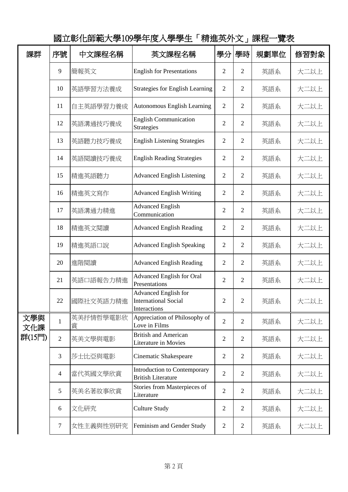| 課群                   | 序號             | 中文課程名稱         | 英文課程名稱                                                                     | 學分             | 學時             | 規劃單位 | 修習對象 |
|----------------------|----------------|----------------|----------------------------------------------------------------------------|----------------|----------------|------|------|
|                      | 9              | 簡報英文           | <b>English for Presentations</b>                                           | $\overline{c}$ | $\overline{2}$ | 英語系  | 大二以上 |
|                      | 10             | 英語學習方法養成       | <b>Strategies for English Learning</b>                                     | $\mathfrak{2}$ | $\overline{2}$ | 英語系  | 大二以上 |
|                      | 11             | 自主英語學習力養成      | <b>Autonomous English Learning</b>                                         | $\overline{2}$ | $\overline{2}$ | 英語系  | 大二以上 |
|                      | 12             | 英語溝通技巧養成       | <b>English Communication</b><br><b>Strategies</b>                          | $\overline{c}$ | 2              | 英語系  | 大二以上 |
|                      | 13             | 英語聽力技巧養成       | <b>English Listening Strategies</b>                                        | 2              | 2              | 英語系  | 大二以上 |
|                      | 14             | 英語閱讀技巧養成       | <b>English Reading Strategies</b>                                          | 2              | $\overline{2}$ | 英語系  | 大二以上 |
|                      | 15             | 精進英語聽力         | <b>Advanced English Listening</b>                                          | $\overline{c}$ | $\overline{2}$ | 英語系  | 大二以上 |
|                      | 16             | 精進英文寫作         | <b>Advanced English Writing</b>                                            | $\overline{c}$ | $\overline{2}$ | 英語系  | 大二以上 |
|                      | 17             | 英語溝通力精進        | <b>Advanced English</b><br>Communication                                   | $\overline{c}$ | $\overline{2}$ | 英語系  | 大二以上 |
|                      | 18             | 精進英文閱讀         | <b>Advanced English Reading</b>                                            | $\overline{c}$ | 2              | 英語系  | 大二以上 |
|                      | 19             | 精進英語口說         | <b>Advanced English Speaking</b>                                           | $\overline{c}$ | $\overline{2}$ | 英語系  | 大二以上 |
|                      | 20             | 進階閱讀           | <b>Advanced English Reading</b>                                            | 2              | $\overline{2}$ | 英語系  | 大二以上 |
|                      | 21             | 英語口語報告力精進      | <b>Advanced English for Oral</b><br>Presentations                          | $\overline{c}$ | 2              | 英語系  | 大二以上 |
|                      | 22             | 國際社交英語力精進      | <b>Advanced English for</b><br><b>International Social</b><br>Interactions | $\overline{2}$ | 2              | 英語系  | 大二以上 |
| 文學與<br>文化課<br>群(15門) | $\mathbf{1}$   | 英美抒情哲學電影欣<br>賞 | Appreciation of Philosophy of<br>Love in Films                             | $\overline{2}$ | $\overline{2}$ | 英語系  | 大二以上 |
|                      | $\overline{2}$ | 英美文學與電影        | <b>British and American</b><br>Literature in Movies                        | $\overline{2}$ | $\overline{2}$ | 英語系  | 大二以上 |
|                      | 3              | 莎士比亞與電影        | Cinematic Shakespeare                                                      | $\overline{2}$ | $\overline{2}$ | 英語系  | 大二以上 |
|                      | $\overline{4}$ | 當代英國文學欣賞       | Introduction to Contemporary<br><b>British Literature</b>                  | $\overline{2}$ | $\overline{2}$ | 英語系  | 大二以上 |
|                      | 5              | 英美名著故事欣賞       | Stories from Masterpieces of<br>Literature                                 | $\overline{c}$ | $\overline{2}$ | 英語系  | 大二以上 |
|                      | 6              | 文化研究           | <b>Culture Study</b>                                                       | $\overline{c}$ | $\overline{2}$ | 英語系  | 大二以上 |
|                      | $\tau$         | 女性主義與性別研究      | Feminism and Gender Study                                                  | 2              | $\overline{2}$ | 英語系  | 大二以上 |

國立彰化師範大學109學年度入學學生「精進英外文」課程一覽表